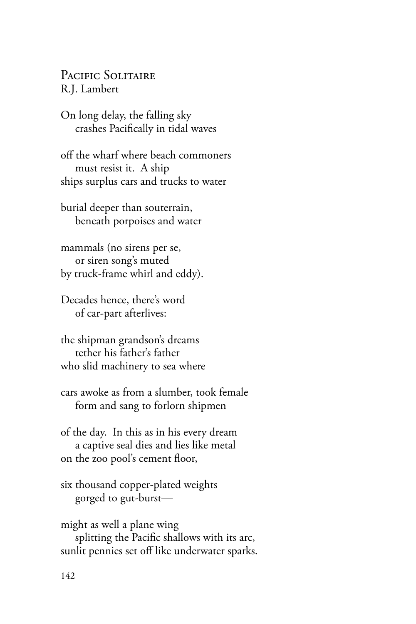PACIFIC SOLITAIRE R.J. Lambert

On long delay, the falling sky crashes Pacifically in tidal waves

off the wharf where beach commoners must resist it. A ship ships surplus cars and trucks to water

burial deeper than souterrain, beneath porpoises and water

mammals (no sirens per se, or siren song's muted by truck-frame whirl and eddy).

Decades hence, there's word of car-part afterlives:

the shipman grandson's dreams tether his father's father who slid machinery to sea where

cars awoke as from a slumber, took female form and sang to forlorn shipmen

of the day. In this as in his every dream a captive seal dies and lies like metal on the zoo pool's cement floor,

six thousand copper-plated weights gorged to gut-burst—

might as well a plane wing splitting the Pacific shallows with its arc, sunlit pennies set off like underwater sparks.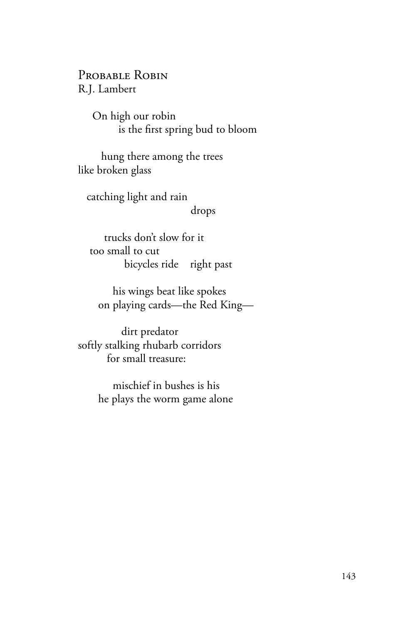PROBABLE ROBIN R.J. Lambert

> On high our robin is the first spring bud to bloom

 hung there among the trees like broken glass

 catching light and rain drops

 trucks don't slow for it too small to cut bicycles ride right past

 his wings beat like spokes on playing cards—the Red King—

 dirt predator softly stalking rhubarb corridors for small treasure:

> mischief in bushes is his he plays the worm game alone